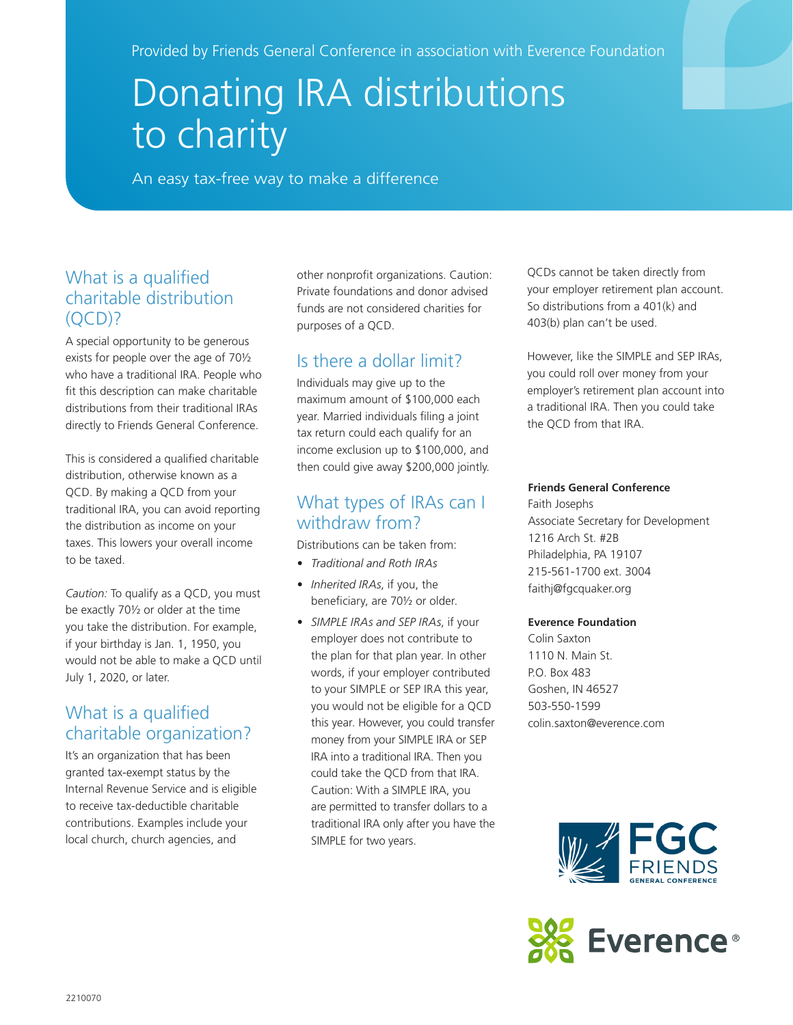Provided by Friends General Conference in association with Everence Foundation

# Donating IRA distributions to charity

An easy tax-free way to make a difference

#### What is a qualified charitable distribution  $(OCD)?$

A special opportunity to be generous exists for people over the age of 70½ who have a traditional IRA. People who fit this description can make charitable distributions from their traditional IRAs directly to Friends General Conference.

This is considered a qualified charitable distribution, otherwise known as a QCD. By making a QCD from your traditional IRA, you can avoid reporting the distribution as income on your taxes. This lowers your overall income to be taxed.

*Caution:* To qualify as a QCD, you must be exactly 70½ or older at the time you take the distribution. For example, if your birthday is Jan. 1, 1950, you would not be able to make a QCD until July 1, 2020, or later.

### What is a qualified charitable organization?

It's an organization that has been granted tax-exempt status by the Internal Revenue Service and is eligible to receive tax-deductible charitable contributions. Examples include your local church, church agencies, and

other nonprofit organizations. Caution: Private foundations and donor advised funds are not considered charities for purposes of a QCD.

## Is there a dollar limit?

Individuals may give up to the maximum amount of \$100,000 each year. Married individuals filing a joint tax return could each qualify for an income exclusion up to \$100,000, and then could give away \$200,000 jointly.

#### What types of IRAs can I withdraw from?

Distributions can be taken from:

- *• Traditional and Roth IRAs*
- *• Inherited IRAs*, if you, the beneficiary, are 70½ or older.
- *• SIMPLE IRAs and SEP IRAs*, if your employer does not contribute to the plan for that plan year. In other words, if your employer contributed to your SIMPLE or SEP IRA this year, you would not be eligible for a QCD this year. However, you could transfer money from your SIMPLE IRA or SEP IRA into a traditional IRA. Then you could take the QCD from that IRA. Caution: With a SIMPLE IRA, you are permitted to transfer dollars to a traditional IRA only after you have the SIMPLE for two years.

QCDs cannot be taken directly from your employer retirement plan account. So distributions from a 401(k) and 403(b) plan can't be used.

However, like the SIMPLE and SEP IRAs, you could roll over money from your employer's retirement plan account into a traditional IRA. Then you could take the QCD from that IRA.

#### **Friends General Conference**

Faith Josephs Associate Secretary for Development 1216 Arch St. #2B Philadelphia, PA 19107 215-561-1700 ext. 3004 faithj@fgcquaker.org

#### **Everence Foundation**

Colin Saxton 1110 N. Main St. P.O. Box 483 Goshen, IN 46527 503-550-1599 colin.saxton@everence.com